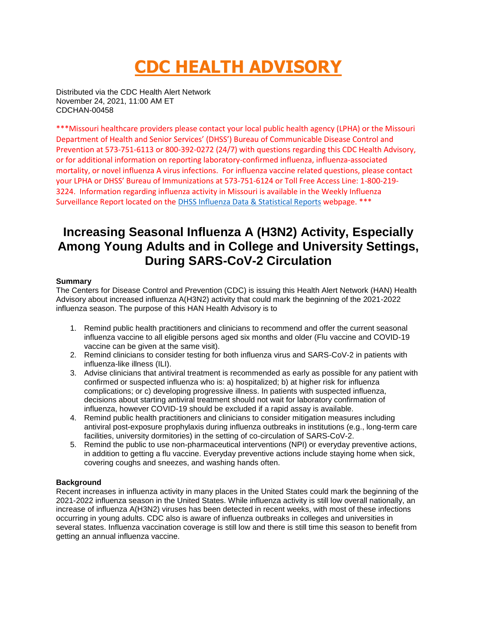# **CDC HEALTH ADVISORY**

Distributed via the CDC Health Alert Network November 24, 2021, 11:00 AM ET CDCHAN-00458

\*\*\*Missouri healthcare providers please contact your local public health agency (LPHA) or the Missouri Department of Health and Senior Services' (DHSS') Bureau of Communicable Disease Control and Prevention at 573-751-6113 or 800-392-0272 (24/7) with questions regarding this CDC Health Advisory, or for additional information on reporting laboratory-confirmed influenza, influenza-associated mortality, or novel influenza A virus infections. For influenza vaccine related questions, please contact your LPHA or DHSS' Bureau of Immunizations at 573-751-6124 or Toll Free Access Line: 1-800-219- 3224. Information regarding influenza activity in Missouri is available in the Weekly Influenza Surveillance Report located on the [DHSS Influenza Data & Statistical Reports](https://health.mo.gov/living/healthcondiseases/communicable/influenza/reports.php) webpage. \*\*\*

## **Increasing Seasonal Influenza A (H3N2) Activity, Especially Among Young Adults and in College and University Settings, During SARS-CoV-2 Circulation**

#### **Summary**

The Centers for Disease Control and Prevention (CDC) is issuing this Health Alert Network (HAN) Health Advisory about increased influenza A(H3N2) activity that could mark the beginning of the 2021-2022 influenza season. The purpose of this HAN Health Advisory is to

- 1. Remind public health practitioners and clinicians to recommend and offer the current seasonal influenza vaccine to all eligible persons aged six months and older (Flu vaccine and COVID-19 vaccine can be given at the same visit).
- 2. Remind clinicians to consider testing for both influenza virus and SARS-CoV-2 in patients with influenza-like illness (ILI).
- 3. Advise clinicians that antiviral treatment is recommended as early as possible for any patient with confirmed or suspected influenza who is: a) hospitalized; b) at higher risk for influenza complications; or c) developing progressive illness. In patients with suspected influenza, decisions about starting antiviral treatment should not wait for laboratory confirmation of influenza, however COVID-19 should be excluded if a rapid assay is available.
- 4. Remind public health practitioners and clinicians to consider mitigation measures including antiviral post-exposure prophylaxis during influenza outbreaks in institutions (e.g., long-term care facilities, university dormitories) in the setting of co-circulation of SARS-CoV-2.
- 5. Remind the public to use non-pharmaceutical interventions (NPI) or everyday preventive actions, in addition to getting a flu vaccine. Everyday preventive actions include staying home when sick, covering coughs and sneezes, and washing hands often.

#### **Background**

Recent increases in influenza activity in many places in the United States could mark the beginning of the 2021-2022 influenza season in the United States. While influenza activity is still low overall nationally, an increase of influenza A(H3N2) viruses has been detected in recent weeks, with most of these infections occurring in young adults. CDC also is aware of influenza outbreaks in colleges and universities in several states. Influenza vaccination coverage is still low and there is still time this season to benefit from getting an annual influenza vaccine.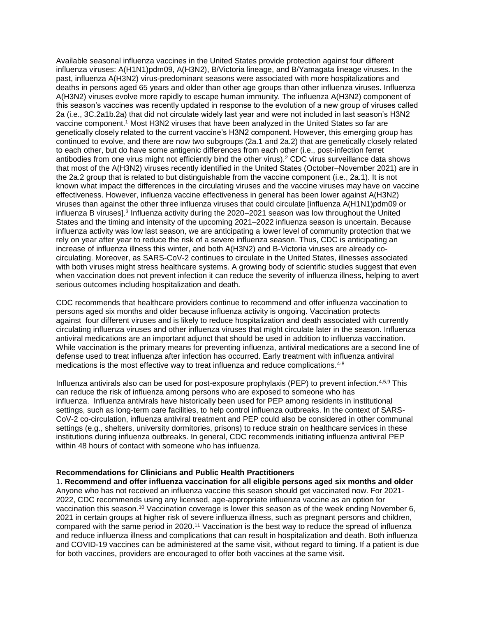Available seasonal influenza vaccines in the United States provide protection against four different influenza viruses: A(H1N1)pdm09, A(H3N2), B/Victoria lineage, and B/Yamagata lineage viruses. In the past, influenza A(H3N2) virus-predominant seasons were associated with more hospitalizations and deaths in persons aged 65 years and older than other age groups than other influenza viruses. Influenza A(H3N2) viruses evolve more rapidly to escape human immunity. The influenza A(H3N2) component of this season's vaccines was recently updated in response to the evolution of a new group of viruses called 2a (i.e., 3C.2a1b.2a) that did not circulate widely last year and were not included in last season's H3N2 vaccine component.<sup>1</sup> Most H3N2 viruses that have been analyzed in the United States so far are genetically closely related to the current vaccine's H3N2 component. However, this emerging group has continued to evolve, and there are now two subgroups (2a.1 and 2a.2) that are genetically closely related to each other, but do have some antigenic differences from each other (i.e., post-infection ferret antibodies from one virus might not efficiently bind the other virus).<sup>2</sup> CDC virus surveillance data shows that most of the A(H3N2) viruses recently identified in the United States (October–November 2021) are in the 2a.2 group that is related to but distinguishable from the vaccine component (i.e., 2a.1). It is not known what impact the differences in the circulating viruses and the vaccine viruses may have on vaccine effectiveness. However, influenza vaccine effectiveness in general has been lower against A(H3N2) viruses than against the other three influenza viruses that could circulate [influenza A(H1N1)pdm09 or influenza B viruses].<sup>3</sup> Influenza activity during the 2020–2021 season was low throughout the United States and the timing and intensity of the upcoming 2021–2022 influenza season is uncertain. Because influenza activity was low last season, we are anticipating a lower level of community protection that we rely on year after year to reduce the risk of a severe influenza season. Thus, CDC is anticipating an increase of influenza illness this winter, and both A(H3N2) and B-Victoria viruses are already cocirculating. Moreover, as SARS-CoV-2 continues to circulate in the United States, illnesses associated with both viruses might stress healthcare systems. A growing body of scientific studies suggest that even when vaccination does not prevent infection it can reduce the severity of influenza illness, helping to avert serious outcomes including hospitalization and death.

CDC recommends that healthcare providers continue to recommend and offer influenza vaccination to persons aged six months and older because influenza activity is ongoing. Vaccination protects against four different viruses and is likely to reduce hospitalization and death associated with currently circulating influenza viruses and other influenza viruses that might circulate later in the season. Influenza antiviral medications are an important adjunct that should be used in addition to influenza vaccination. While vaccination is the primary means for preventing influenza, antiviral medications are a second line of defense used to treat influenza after infection has occurred. Early treatment with influenza antiviral medications is the most effective way to treat influenza and reduce complications.<sup>4-8</sup>

Influenza antivirals also can be used for post-exposure prophylaxis (PEP) to prevent infection.<sup>4,5,9</sup> This can reduce the risk of influenza among persons who are exposed to someone who has influenza. Influenza antivirals have historically been used for PEP among residents in institutional settings, such as long-term care facilities, to help control influenza outbreaks. In the context of SARS-CoV-2 co-circulation, influenza antiviral treatment and PEP could also be considered in other communal settings (e.g., shelters, university dormitories, prisons) to reduce strain on healthcare services in these institutions during influenza outbreaks. In general, CDC recommends initiating influenza antiviral PEP within 48 hours of contact with someone who has influenza.

#### **Recommendations for Clinicians and Public Health Practitioners**

1**. Recommend and offer influenza vaccination for all eligible persons aged six months and older** Anyone who has not received an influenza vaccine this season should get vaccinated now. For 2021- 2022, CDC recommends using any licensed, age-appropriate influenza vaccine as an option for vaccination this season.<sup>10</sup> Vaccination coverage is lower this season as of the week ending November 6, 2021 in certain groups at higher risk of severe influenza illness, such as pregnant persons and children, compared with the same period in 2020.<sup>11</sup> Vaccination is the best way to reduce the spread of influenza and reduce influenza illness and complications that can result in hospitalization and death. Both influenza and COVID-19 vaccines can be administered at the same visit, without regard to timing. If a patient is due for both vaccines, providers are encouraged to offer both vaccines at the same visit.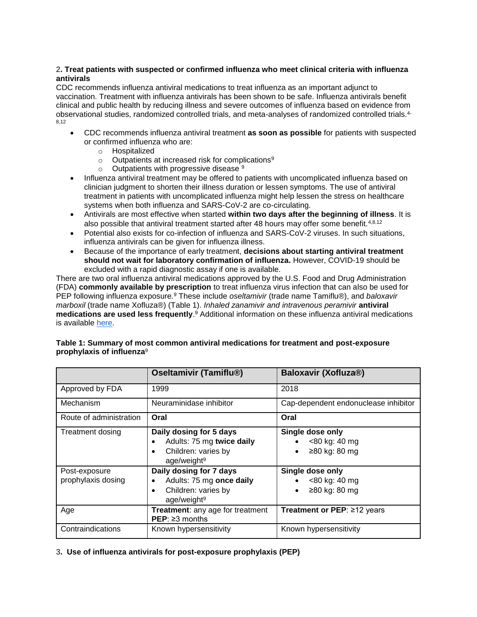#### 2**. Treat patients with suspected or confirmed influenza who meet clinical criteria with influenza antivirals**

CDC recommends influenza antiviral medications to treat influenza as an important adjunct to vaccination. Treatment with influenza antivirals has been shown to be safe. Influenza antivirals benefit clinical and public health by reducing illness and severe outcomes of influenza based on evidence from observational studies, randomized controlled trials, and meta-analyses of randomized controlled trials.4- 8,12

- CDC recommends influenza antiviral treatment **as soon as possible** for patients with suspected or confirmed influenza who are:
	- o Hospitalized
	- $\circ$  Outpatients at increased risk for complications<sup>9</sup>
	- $\circ$  Outpatients with progressive disease  $9$
- Influenza antiviral treatment may be offered to patients with uncomplicated influenza based on clinician judgment to shorten their illness duration or lessen symptoms. The use of antiviral treatment in patients with uncomplicated influenza might help lessen the stress on healthcare systems when both influenza and SARS-CoV-2 are co-circulating.
- Antivirals are most effective when started **within two days after the beginning of illness**. It is also possible that antiviral treatment started after 48 hours may offer some benefit.4,8,12
- Potential also exists for co-infection of influenza and SARS-CoV-2 viruses. In such situations, influenza antivirals can be given for influenza illness.
- Because of the importance of early treatment, **decisions about starting antiviral treatment should not wait for laboratory confirmation of influenza.** However, COVID-19 should be excluded with a rapid diagnostic assay if one is available.

There are two oral influenza antiviral medications approved by the U.S. Food and Drug Administration (FDA) **commonly available by prescription** to treat influenza virus infection that can also be used for PEP following influenza exposure*.* <sup>9</sup> These include *oseltamivir* (trade name Tamiflu®), and *baloxavir marboxil* (trade name Xofluza®) (Table 1). *Inhaled zanamivir and intravenous peramivir* **antiviral medications are used less frequently**. <sup>9</sup> Additional information on these influenza antiviral medications is available [here.](https://urldefense.com/v3/__https:/www.cdc.gov/flu/professionals/antivirals/summary-clinicians.htm__;!!EErPFA7f--AJOw!ShQWFuqF-WvYxU2ApXBmoNXDsyaZgUpfWgxEOKZrVe8n7a7wvPn5AMm_IdKhpg$)

|                                     | <b>Oseltamivir (Tamiflu®)</b>                                                                                       | Baloxavir (Xofluza®)                                            |
|-------------------------------------|---------------------------------------------------------------------------------------------------------------------|-----------------------------------------------------------------|
| Approved by FDA                     | 1999                                                                                                                | 2018                                                            |
| Mechanism                           | Neuraminidase inhibitor                                                                                             | Cap-dependent endonuclease inhibitor                            |
| Route of administration             | Oral                                                                                                                | Oral                                                            |
| Treatment dosing                    | Daily dosing for 5 days<br>Adults: 75 mg twice daily<br>Children: varies by<br>$\bullet$<br>age/weight <sup>9</sup> | Single dose only<br><80 kg: 40 mg<br>≥80 kg: 80 mg<br>$\bullet$ |
| Post-exposure<br>prophylaxis dosing | Daily dosing for 7 days<br>Adults: 75 mg once daily<br>Children: varies by<br>٠<br>age/weight <sup>9</sup>          | Single dose only<br><80 kg: 40 mg<br>≥80 kg: 80 mg<br>$\bullet$ |
| Age                                 | Treatment: any age for treatment<br>$PEP: \geq 3$ months                                                            | Treatment or PEP: ≥12 years                                     |
| Contraindications                   | Known hypersensitivity                                                                                              | Known hypersensitivity                                          |

#### **Table 1: Summary of most common antiviral medications for treatment and post-exposure prophylaxis of influenza**<sup>9</sup>

3**. Use of influenza antivirals for post-exposure prophylaxis (PEP)**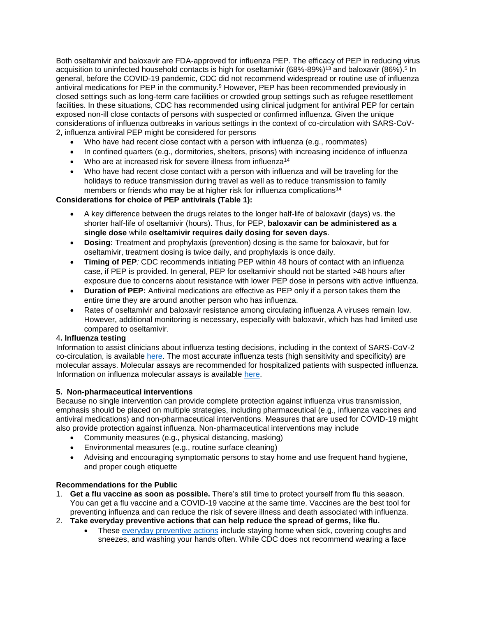Both oseltamivir and baloxavir are FDA-approved for influenza PEP. The efficacy of PEP in reducing virus acquisition to uninfected household contacts is high for oseltamivir (68%-89%)<sup>13</sup> and baloxavir (86%).<sup>5</sup> In general, before the COVID-19 pandemic, CDC did not recommend widespread or routine use of influenza antiviral medications for PEP in the community.<sup>9</sup> However, PEP has been recommended previously in closed settings such as long-term care facilities or crowded group settings such as refugee resettlement facilities. In these situations, CDC has recommended using clinical judgment for antiviral PEP for certain exposed non-ill close contacts of persons with suspected or confirmed influenza. Given the unique considerations of influenza outbreaks in various settings in the context of co-circulation with SARS-CoV-2, influenza antiviral PEP might be considered for persons

- Who have had recent close contact with a person with influenza (e.g., roommates)
- In confined quarters (e.g., dormitories, shelters, prisons) with increasing incidence of influenza
- Who are at increased risk for severe illness from influenza<sup>14</sup>
- Who have had recent close contact with a person with influenza and will be traveling for the holidays to reduce transmission during travel as well as to reduce transmission to family members or friends who may be at higher risk for influenza complications<sup>14</sup>

#### **Considerations for choice of PEP antivirals (Table 1):**

- A key difference between the drugs relates to the longer half-life of baloxavir (days) vs. the shorter half-life of oseltamivir (hours). Thus, for PEP, **baloxavir can be administered as a single dose** while **oseltamivir requires daily dosing for seven days**.
- **Dosing:** Treatment and prophylaxis (prevention) dosing is the same for baloxavir, but for oseltamivir, treatment dosing is twice daily, and prophylaxis is once daily.
- **Timing of PEP***:* CDC recommends initiating PEP within 48 hours of contact with an influenza case, if PEP is provided. In general, PEP for oseltamivir should not be started >48 hours after exposure due to concerns about resistance with lower PEP dose in persons with active influenza.
- **Duration of PEP:** Antiviral medications are effective as PEP only if a person takes them the entire time they are around another person who has influenza.
- Rates of oseltamivir and baloxavir resistance among circulating influenza A viruses remain low. However, additional monitoring is necessary, especially with baloxavir, which has had limited use compared to oseltamivir.

### 4**. Influenza testing**

Information to assist clinicians about influenza testing decisions, including in the context of SARS-CoV-2 co-circulation, is available [here.](https://urldefense.com/v3/__https:/www.cdc.gov/flu/professionals/diagnosis/index.htm__;!!EErPFA7f--AJOw!ShQWFuqF-WvYxU2ApXBmoNXDsyaZgUpfWgxEOKZrVe8n7a7wvPn5AMllQI1LoA$) The most accurate influenza tests (high sensitivity and specificity) are molecular assays. Molecular assays are recommended for hospitalized patients with suspected influenza. Information on influenza molecular assays is available [here.](https://urldefense.com/v3/__https:/www.cdc.gov/flu/professionals/diagnosis/testing-guidance-for-clinicians-hospitaized.htm__;!!EErPFA7f--AJOw!ShQWFuqF-WvYxU2ApXBmoNXDsyaZgUpfWgxEOKZrVe8n7a7wvPn5AMmBKR6ecQ$)

#### **5. Non-pharmaceutical interventions**

Because no single intervention can provide complete protection against influenza virus transmission, emphasis should be placed on multiple strategies, including pharmaceutical (e.g., influenza vaccines and antiviral medications) and non-pharmaceutical interventions. Measures that are used for COVID-19 might also provide protection against influenza. Non-pharmaceutical interventions may include

- Community measures (e.g., physical distancing, masking)
- Environmental measures (e.g., routine surface cleaning)
- Advising and encouraging symptomatic persons to stay home and use [frequent hand hygiene,](https://urldefense.com/v3/__https:/www.cdc.gov/flu/prevent/actions-prevent-flu.htm__;!!EErPFA7f--AJOw!ShQWFuqF-WvYxU2ApXBmoNXDsyaZgUpfWgxEOKZrVe8n7a7wvPn5AMkLlJNWrQ$)  [and proper cough etiquette](https://urldefense.com/v3/__https:/www.cdc.gov/flu/prevent/actions-prevent-flu.htm__;!!EErPFA7f--AJOw!ShQWFuqF-WvYxU2ApXBmoNXDsyaZgUpfWgxEOKZrVe8n7a7wvPn5AMkLlJNWrQ$)

#### **Recommendations for the Public**

- 1. **Get a flu vaccine as soon as possible.** There's still time to protect yourself from flu this season. You can get a flu vaccine and a COVID-19 vaccine at the same time. Vaccines are the best tool for preventing influenza and can reduce the risk of severe illness and death associated with influenza.
- 2. **Take everyday preventive actions that can help reduce the spread of germs, like flu.**
	- These [everyday preventive actions](https://urldefense.com/v3/__https:/www.cdc.gov/flu/prevent/prevention.htm__;!!EErPFA7f--AJOw!ShQWFuqF-WvYxU2ApXBmoNXDsyaZgUpfWgxEOKZrVe8n7a7wvPn5AMmUU20MXw$) include staying home when sick, covering coughs and sneezes, and washing your hands often. While CDC does not recommend wearing a face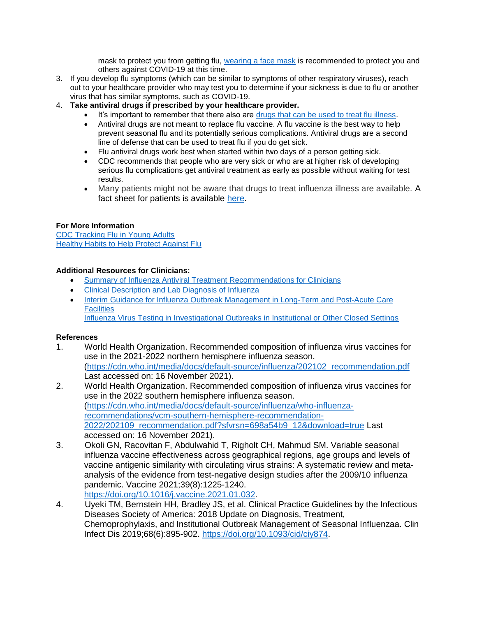mask to protect you from getting flu, [wearing a face mask](https://urldefense.com/v3/__https:/www.cdc.gov/coronavirus/2019-ncov/prevent-getting-sick/about-face-coverings.html__;!!EErPFA7f--AJOw!ShQWFuqF-WvYxU2ApXBmoNXDsyaZgUpfWgxEOKZrVe8n7a7wvPn5AMl2sZHPyg$) is recommended to protect you and others against COVID-19 at this time.

- 3. If you develop flu symptoms (which can be similar to symptoms of other respiratory viruses), reach out to your healthcare provider who may test you to determine if your sickness is due to flu or another virus that has similar symptoms, such as COVID-19.
- 4. **Take antiviral drugs if prescribed by your healthcare provider.**
	- It's important to remember that there also are [drugs that can be used to treat flu illness.](https://urldefense.com/v3/__https:/www.cdc.gov/flu/treatment/index.html__;!!EErPFA7f--AJOw!ShQWFuqF-WvYxU2ApXBmoNXDsyaZgUpfWgxEOKZrVe8n7a7wvPn5AMnEAASteg$)
	- Antiviral drugs are not meant to replace flu vaccine. A flu vaccine is the best way to help prevent seasonal flu and its potentially serious complications. Antiviral drugs are a second line of defense that can be used to treat flu if you do get sick.
	- Flu antiviral drugs work best when started within two days of a person getting sick.
	- CDC recommends that people who are very sick or who are at higher risk of developing serious flu complications get antiviral treatment as early as possible without waiting for test results.
	- Many patients might not be aware that drugs to treat influenza illness are available. A fact sheet for patients is available [here.](https://urldefense.com/v3/__https:/www.cdc.gov/flu/treatment/whatyoushould.htm__;!!EErPFA7f--AJOw!ShQWFuqF-WvYxU2ApXBmoNXDsyaZgUpfWgxEOKZrVe8n7a7wvPn5AMnmrYNRbw$)

#### **For More Information**

[CDC Tracking Flu in Young Adults](https://urldefense.com/v3/__https:/www.cdc.gov/flu/spotlights/2021-2022/flu-tracking-young-adults.htm__;!!EErPFA7f--AJOw!ShQWFuqF-WvYxU2ApXBmoNXDsyaZgUpfWgxEOKZrVe8n7a7wvPn5AMlZIKg8Sw$) [Healthy Habits to Help Protect Against Flu](https://urldefense.com/v3/__https:/www.cdc.gov/flu/prevent/actions-prevent-flu.htm__;!!EErPFA7f--AJOw!ShQWFuqF-WvYxU2ApXBmoNXDsyaZgUpfWgxEOKZrVe8n7a7wvPn5AMkLlJNWrQ$)

#### **Additional Resources for Clinicians:**

- [Summary of Influenza Antiviral Treatment Recommendations for Clinicians](https://urldefense.com/v3/__http:/www.cdc.gov/flu/professionals/antivirals/summary-clinicians.htm__;!!EErPFA7f--AJOw!ShQWFuqF-WvYxU2ApXBmoNXDsyaZgUpfWgxEOKZrVe8n7a7wvPn5AMnfBzQn9A$)
- [Clinical Description and Lab Diagnosis of Influenza](https://urldefense.com/v3/__http:/www.cdc.gov/flu/professionals/diagnosis/index.htm__;!!EErPFA7f--AJOw!ShQWFuqF-WvYxU2ApXBmoNXDsyaZgUpfWgxEOKZrVe8n7a7wvPn5AMkCZ6x7tg$)
- Interim Guidance for Influenza Outbreak Management in Long-Term and Post-Acute Care **[Facilities](https://urldefense.com/v3/__http:/www.cdc.gov/flu/professionals/infectioncontrol/ltc-facility-guidance.htm__;!!EErPFA7f--AJOw!ShQWFuqF-WvYxU2ApXBmoNXDsyaZgUpfWgxEOKZrVe8n7a7wvPn5AMkbxKczXw$)** Influenza Virus Testing in [Investigational Outbreaks in Institutional or Other Closed Settings](https://urldefense.com/v3/__https:/www.cdc.gov/flu/professionals/diagnosis/guide-virus-diagnostic-tests.htm__;!!EErPFA7f--AJOw!ShQWFuqF-WvYxU2ApXBmoNXDsyaZgUpfWgxEOKZrVe8n7a7wvPn5AMkSM_BpXw$)

#### **References**

- 1. World Health Organization. Recommended composition of influenza virus vaccines for use in the 2021-2022 northern hemisphere influenza season. [\(https://cdn.who.int/media/docs/default-source/influenza/202102\\_recommendation.pdf](https://urldefense.com/v3/__https:/cdn.who.int/media/docs/default-source/influenza/202102_recommendation.pdf__;!!EErPFA7f--AJOw!ShQWFuqF-WvYxU2ApXBmoNXDsyaZgUpfWgxEOKZrVe8n7a7wvPn5AMnyA5KBeg$) Last accessed on: 16 November 2021).
- 2. World Health Organization. Recommended composition of influenza virus vaccines for use in the 2022 southern hemisphere influenza season. [\(https://cdn.who.int/media/docs/default-source/influenza/who-influenza](https://urldefense.com/v3/__https:/cdn.who.int/media/docs/default-source/influenza/who-influenza-recommendations/vcm-southern-hemisphere-recommendation-2022/202109_recommendation.pdf?sfvrsn=698a54b9_12&download=true__;!!EErPFA7f--AJOw!ShQWFuqF-WvYxU2ApXBmoNXDsyaZgUpfWgxEOKZrVe8n7a7wvPn5AMlF1thfcA$)[recommendations/vcm-southern-hemisphere-recommendation-](https://urldefense.com/v3/__https:/cdn.who.int/media/docs/default-source/influenza/who-influenza-recommendations/vcm-southern-hemisphere-recommendation-2022/202109_recommendation.pdf?sfvrsn=698a54b9_12&download=true__;!!EErPFA7f--AJOw!ShQWFuqF-WvYxU2ApXBmoNXDsyaZgUpfWgxEOKZrVe8n7a7wvPn5AMlF1thfcA$)[2022/202109\\_recommendation.pdf?sfvrsn=698a54b9\\_12&download=true](https://urldefense.com/v3/__https:/cdn.who.int/media/docs/default-source/influenza/who-influenza-recommendations/vcm-southern-hemisphere-recommendation-2022/202109_recommendation.pdf?sfvrsn=698a54b9_12&download=true__;!!EErPFA7f--AJOw!ShQWFuqF-WvYxU2ApXBmoNXDsyaZgUpfWgxEOKZrVe8n7a7wvPn5AMlF1thfcA$) Last accessed on: 16 November 2021).
- 3. Okoli GN, Racovitan F, Abdulwahid T, Righolt CH, Mahmud SM. Variable seasonal influenza vaccine effectiveness across geographical regions, age groups and levels of vaccine antigenic similarity with circulating virus strains: A systematic review and metaanalysis of the evidence from test-negative design studies after the 2009/10 influenza pandemic. Vaccine 2021;39(8):1225-1240. [https://doi.org/10.1016/j.vaccine.2021.01.032.](https://urldefense.com/v3/__https:/doi.org/10.1016/j.vaccine.2021.01.032__;!!EErPFA7f--AJOw!ShQWFuqF-WvYxU2ApXBmoNXDsyaZgUpfWgxEOKZrVe8n7a7wvPn5AMl4QxU3aw$)
- 4. Uyeki TM, Bernstein HH, Bradley JS, et al. Clinical Practice Guidelines by the Infectious Diseases Society of America: 2018 Update on Diagnosis, Treatment, Chemoprophylaxis, and Institutional Outbreak Management of Seasonal Influenzaa. Clin Infect Dis 2019;68(6):895-902. [https://doi.org/10.1093/cid/ciy874.](https://urldefense.com/v3/__https:/doi.org/10.1093/cid/ciy874__;!!EErPFA7f--AJOw!ShQWFuqF-WvYxU2ApXBmoNXDsyaZgUpfWgxEOKZrVe8n7a7wvPn5AMn3pPND2Q$)